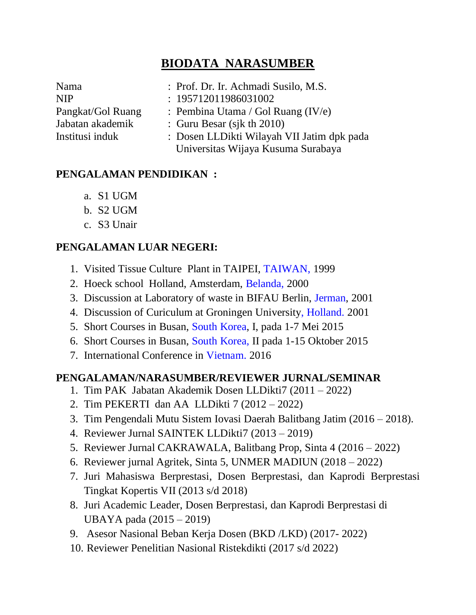# **BIODATA NARASUMBER**

| Nama              |  |
|-------------------|--|
| <b>NIP</b>        |  |
| Pangkat/Gol Ruang |  |
| Jabatan akademik  |  |
| Institusi induk   |  |

- : Prof. Dr. Ir. Achmadi Susilo, M.S.
- $: 195712011986031002$
- : Pembina Utama / Gol Ruang  $(IV/e)$
- $\therefore$  Guru Besar (sjk th 2010)
	- : Dosen LLDikti Wilayah VII Jatim dpk pada Universitas Wijaya Kusuma Surabaya

#### **PENGALAMAN PENDIDIKAN :**

- a. S1 UGM
- b. S2 UGM
- c. S3 Unair

#### **PENGALAMAN LUAR NEGERI:**

- 1. Visited Tissue Culture Plant in TAIPEI, TAIWAN, 1999
- 2. Hoeck school Holland, Amsterdam, Belanda, 2000
- 3. Discussion at Laboratory of waste in BIFAU Berlin, Jerman, 2001
- 4. Discussion of Curiculum at Groningen University, Holland. 2001
- 5. Short Courses in Busan, South Korea, I, pada 1-7 Mei 2015
- 6. Short Courses in Busan, South Korea, II pada 1-15 Oktober 2015
- 7. International Conference in Vietnam. 2016

#### **PENGALAMAN/NARASUMBER/REVIEWER JURNAL/SEMINAR**

- 1. Tim PAK Jabatan Akademik Dosen LLDikti7 (2011 2022)
- 2. Tim PEKERTI dan AA LLDikti 7 (2012 2022)
- 3. Tim Pengendali Mutu Sistem Iovasi Daerah Balitbang Jatim (2016 2018).
- 4. Reviewer Jurnal SAINTEK LLDikti7 (2013 2019)
- 5. Reviewer Jurnal CAKRAWALA, Balitbang Prop, Sinta 4 (2016 2022)
- 6. Reviewer jurnal Agritek, Sinta 5, UNMER MADIUN (2018 2022)
- 7. Juri Mahasiswa Berprestasi, Dosen Berprestasi, dan Kaprodi Berprestasi Tingkat Kopertis VII (2013 s/d 2018)
- 8. Juri Academic Leader, Dosen Berprestasi, dan Kaprodi Berprestasi di UBAYA pada (2015 – 2019)
- 9. Asesor Nasional Beban Kerja Dosen (BKD /LKD) (2017- 2022)
- 10. Reviewer Penelitian Nasional Ristekdikti (2017 s/d 2022)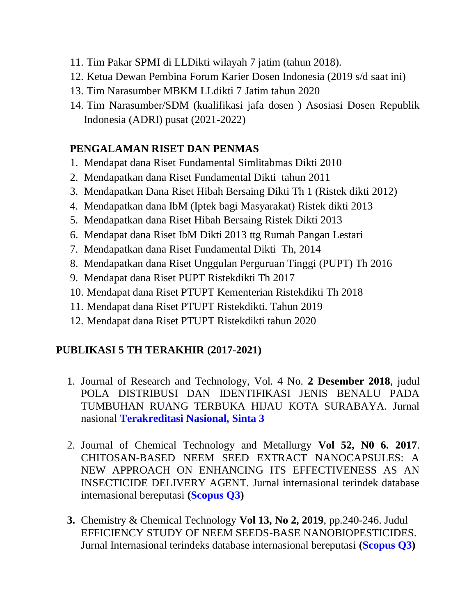- 11. Tim Pakar SPMI di LLDikti wilayah 7 jatim (tahun 2018).
- 12. Ketua Dewan Pembina Forum Karier Dosen Indonesia (2019 s/d saat ini)
- 13. Tim Narasumber MBKM LLdikti 7 Jatim tahun 2020
- 14. Tim Narasumber/SDM (kualifikasi jafa dosen ) Asosiasi Dosen Republik Indonesia (ADRI) pusat (2021-2022)

### **PENGALAMAN RISET DAN PENMAS**

- 1. Mendapat dana Riset Fundamental Simlitabmas Dikti 2010
- 2. Mendapatkan dana Riset Fundamental Dikti tahun 2011
- 3. Mendapatkan Dana Riset Hibah Bersaing Dikti Th 1 (Ristek dikti 2012)
- 4. Mendapatkan dana IbM (Iptek bagi Masyarakat) Ristek dikti 2013
- 5. Mendapatkan dana Riset Hibah Bersaing Ristek Dikti 2013
- 6. Mendapat dana Riset IbM Dikti 2013 ttg Rumah Pangan Lestari
- 7. Mendapatkan dana Riset Fundamental Dikti Th, 2014
- 8. Mendapatkan dana Riset Unggulan Perguruan Tinggi (PUPT) Th 2016
- 9. Mendapat dana Riset PUPT Ristekdikti Th 2017
- 10. Mendapat dana Riset PTUPT Kementerian Ristekdikti Th 2018
- 11. Mendapat dana Riset PTUPT Ristekdikti. Tahun 2019
- 12. Mendapat dana Riset PTUPT Ristekdikti tahun 2020

## **PUBLIKASI 5 TH TERAKHIR (2017-2021)**

- 1. Journal of Research and Technology, Vol. 4 No. **2 Desember 2018**, judul POLA DISTRIBUSI DAN IDENTIFIKASI JENIS BENALU PADA TUMBUHAN RUANG TERBUKA HIJAU KOTA SURABAYA. Jurnal nasional **Terakreditasi Nasional, Sinta 3**
- 2. Journal of Chemical Technology and Metallurgy **Vol 52, N0 6. 2017**. CHITOSAN-BASED NEEM SEED EXTRACT NANOCAPSULES: A NEW APPROACH ON ENHANCING ITS EFFECTIVENESS AS AN INSECTICIDE DELIVERY AGENT. Jurnal internasional terindek database internasional bereputasi **(Scopus Q3)**
- **3.** Chemistry & Chemical Technology **Vol 13, No 2, 2019**, pp.240-246. Judul EFFICIENCY STUDY OF NEEM SEEDS-BASE NANOBIOPESTICIDES. Jurnal Internasional terindeks database internasional bereputasi **(Scopus Q3)**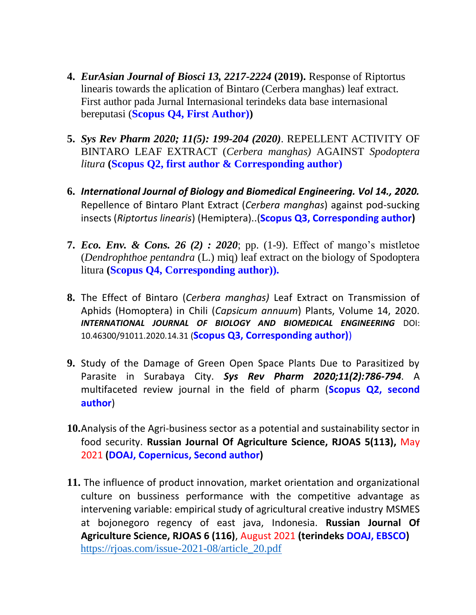- **4.** *EurAsian Journal of Biosci 13, 2217-2224* **(2019).** Response of Riptortus linearis towards the aplication of Bintaro (Cerbera manghas) leaf extract. First author pada Jurnal Internasional terindeks data base internasional bereputasi (**Scopus Q4, First Author))**
- **5.** *Sys Rev Pharm 2020; 11(5): 199-204 (2020)*. REPELLENT ACTIVITY OF BINTARO LEAF EXTRACT (*Cerbera manghas)* AGAINST *Spodoptera litura* **(Scopus Q2, first author & Corresponding author)**
- **6.** *International Journal of Biology and Biomedical Engineering. Vol 14., 2020.* Repellence of Bintaro Plant Extract (*Cerbera manghas*) against pod-sucking insects (*Riptortus linearis*) (Hemiptera)..(**Scopus Q3, Corresponding author)**
- **7.** *Eco. Env. & Cons. 26 (2) : 2020*; pp. (1-9). Effect of mango's mistletoe (*Dendrophthoe pentandra* (L.) miq) leaf extract on the biology of Spodoptera litura **(Scopus Q4, Corresponding author)).**
- **8.** The Effect of Bintaro (*Cerbera manghas)* Leaf Extract on Transmission of Aphids (Homoptera) in Chili (*Capsicum annuum*) Plants, Volume 14, 2020. *INTERNATIONAL JOURNAL OF BIOLOGY AND BIOMEDICAL ENGINEERING* DOI: 10.46300/91011.2020.14.31 (**Scopus Q3, Corresponding author)**)
- **9.** Study of the Damage of Green Open Space Plants Due to Parasitized by Parasite in Surabaya City. *Sys Rev Pharm 2020;11(2):786-794*. A multifaceted review journal in the field of pharm (**Scopus Q2, second author**)
- **10.**Analysis of the Agri-business sector as a potential and sustainability sector in food security. **Russian Journal Of Agriculture Science, RJOAS 5(113),** May 2021 **(DOAJ, Copernicus, Second author)**
- **11.** The influence of product innovation, market orientation and organizational culture on bussiness performance with the competitive advantage as intervening variable: empirical study of agricultural creative industry MSMES at bojonegoro regency of east java, Indonesia. **Russian Journal Of Agriculture Science, RJOAS 6 (116)**, August 2021 **(terindeks DOAJ, EBSCO)** [https://rjoas.com/issue-2021-08/article\\_20.pdf](https://rjoas.com/issue-2021-08/article_20.pdf)